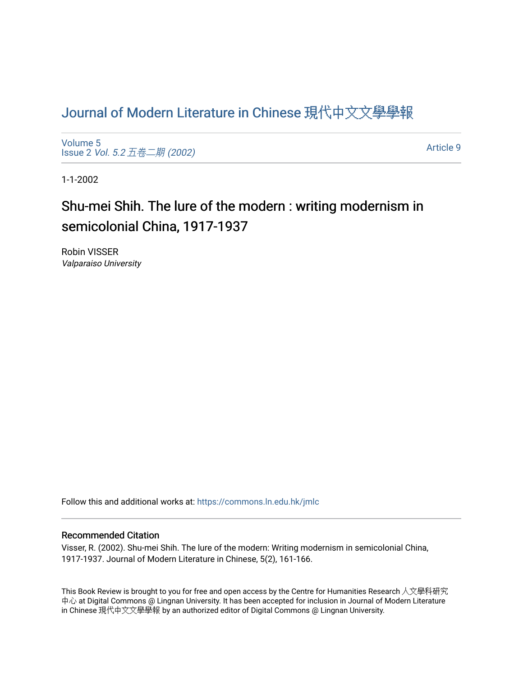## [Journal of Modern Literature in Chinese](https://commons.ln.edu.hk/jmlc) 現代中文文學學報

[Volume 5](https://commons.ln.edu.hk/jmlc/vol5) Issue 2 Vol. 5.2 [五卷二期](https://commons.ln.edu.hk/jmlc/vol5/iss2) (2002)

[Article 9](https://commons.ln.edu.hk/jmlc/vol5/iss2/9) 

1-1-2002

# Shu-mei Shih. The lure of the modern : writing modernism in semicolonial China, 1917-1937

Robin VISSER Valparaiso University

Follow this and additional works at: [https://commons.ln.edu.hk/jmlc](https://commons.ln.edu.hk/jmlc?utm_source=commons.ln.edu.hk%2Fjmlc%2Fvol5%2Fiss2%2F9&utm_medium=PDF&utm_campaign=PDFCoverPages) 

### Recommended Citation

Visser, R. (2002). Shu-mei Shih. The lure of the modern: Writing modernism in semicolonial China, 1917-1937. Journal of Modern Literature in Chinese, 5(2), 161-166.

This Book Review is brought to you for free and open access by the Centre for Humanities Research 人文學科研究 中心 at Digital Commons @ Lingnan University. It has been accepted for inclusion in Journal of Modern Literature in Chinese 現代中文文學學報 by an authorized editor of Digital Commons @ Lingnan University.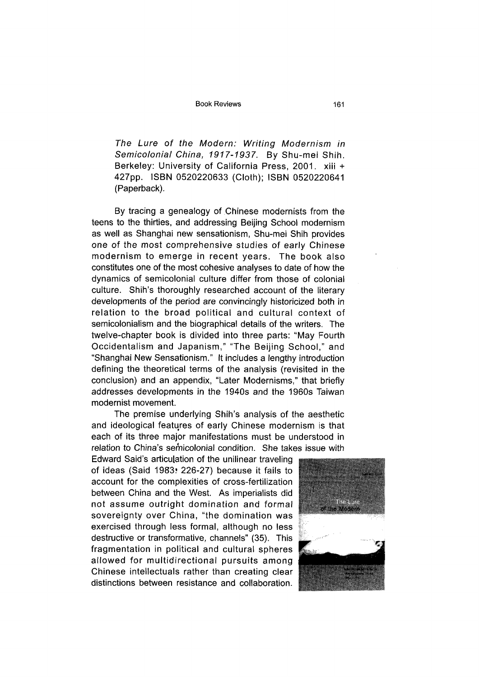*The Lure of the Modern: Writing Modernism in* Semicolonial China, 1917-1937. By Shu-mei Shih. Berkeley: University of California Press, 2001. xiii + 427pp. ISBN 0520220633 (Cloth); ISBN 0520220641 (Paperback).

By tracing a genealogy of Chinese modernists from the teens to the thirties, and addressing Beijing School modernism as well as Shanghai new sensationism, Shu-mei Shih provides one of the most comprehensive studies of early Chinese modernism to emerge in recent years. The book also constitutes one of the most cohesive analyses to date of how the dynamics of semicolonial culture differ from those of colonial culture. Shih's thoroughly researched account of the literary developments of the period are convincingly historicized both in relation to the broad political and cultural context of semicolonialism and the biographical details of the writers. The twelve-chapter book is divided into three parts: "May Fourth Occidentalism and Japanism," "The Beijing School," and "Shanghai New Sensationism." It includes a lengthy introduction defining the theoretical terms of the analysis (revisited in the conclusion) and an appendix, "Later Modernisms," that briefly addresses developments in the 1940s and the 1960s Taiwan modernist movement.

The premise underlying Shih's analysis of the aesthetic and ideological features of early Chinese modernism is that each of its three major manifestations must be understood in relation to China's semicolonial condition. She takes issue with

Edward Said's articulation of the unilinear traveling of ideas (Said 1983, 226-27) because it fails to account for the complexities of cross-fertilization between China and the West. As imperialists did not assume outright domination and formal sovereignty over China, "the domination was exercised through less formal, although no less destructive or transformative, channels" (35). This fragmentation in political and cultural spheres allowed for multidirectional pursuits among Chinese intellectuals rather than creating clear distinctions between resistance and collaboration.

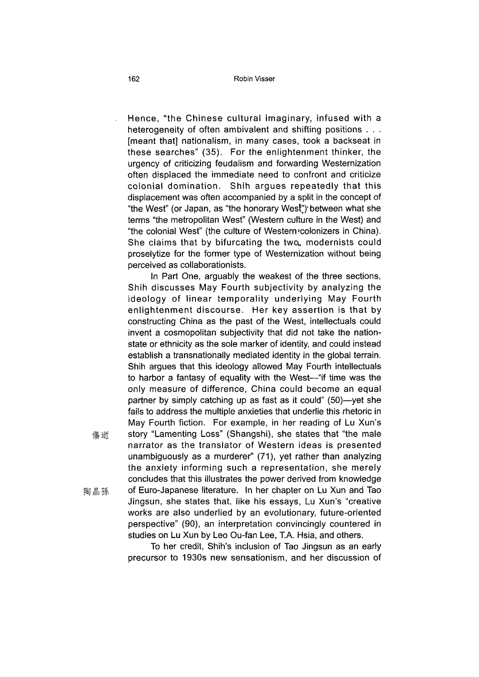Hence, "the Chinese cultural imaginary, infused with a heterogeneity of often ambivalent and shifting positions . . . [meant that] nationalism, in many cases, took a backseat in these searches" (35). For the enlightenment thinker, the urgency of criticizing feudalism and forwarding Westernization often displaced the immediate need to confront and criticize colonial domination. Shih argues repeatedly that this displacement was often accompanied by a split in the concept of "the West" (or Japan, as "the honorary West") between what she terms "the metropolitan West" (Western culture in the West) and "the colonial West" (the culture of Western ^colonizers in China). She claims that by bifurcating the two,, modernists could proselytize for the former type of Westernization without being perceived as collaborationists.

In Part One, arguably the weakest of the three sections, Shih discusses May Fourth subjectivity by analyzing the ideology of linear temporality underlying May Fourth enlightenment discourse. Her key assertion is that by constructing China as the past of the West, intellectuals could invent a cosmopolitan subjectivity that did not take the nationstate or ethnicity as the sole marker of identity, and could instead establish a transnationally mediated identity in the global terrain. Shih argues that this ideology allowed May Fourth intellectuals to harbor a fantasy of equality with the West—"if time was the only measure of difference, China could become an equal partner by simply catching up as fast as it could" (50)—yet she fails to address the multiple anxieties that underlie this rhetoric in May Fourth fiction. For example, in her reading of Lu Xun's 傷逝 story "Lamenting Loss" (Shangshi), she states that "the male narrator as the translator of Western ideas is presented unambiguously as a murderer" (71), yet rather than analyzing the anxiety informing such a representation, she merely concludes that this illustrates the power derived from knowledge 陶 晶 孫 0f Euro-Japanese literature. In her chapter on Lu Xun and Tao Jingsun, she states that, like his essays, Lu Xun's "creative works are also underlied by an evolutionary, future-oriented perspective" (90), an interpretation convincingly countered in studies on Lu Xun by Leo Ou-fan Lee, T.A. Hsia, and others.

> To her credit, Shih's inclusion of Tao Jingsun as an early precursor to 1930s new sensationism, and her discussion of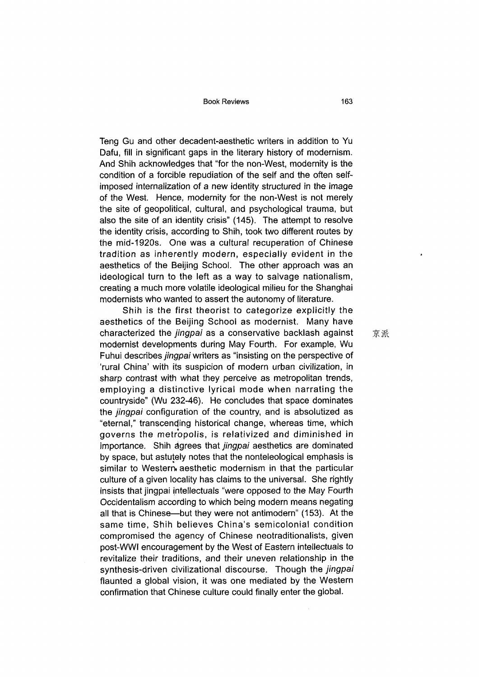Book Reviews 163

Teng Gu and other decadent-aesthetic writers in addition to Yu Dafu, fill in significant gaps in the literary history of modernism. And Shih acknowledges that "for the non-West, modernity is the condition of a forcible repudiation of the self and the often selfimposed internalization of a new identity structured in the image of the West. Hence, modernity for the non-West is not merely the site of geopolitical, cultural, and psychological trauma, but also the site of an identity crisis" (145). The attempt to resolve the identity crisis, according to Shih, took two different routes by the mid-1920s. One was a cultural recuperation of Chinese tradition as inherently modern, especially evident in the aesthetics of the Beijing School. The other approach was an ideological turn to the left as a way to salvage nationalism, creating a much more volatile ideological milieu for the Shanghai modernists who wanted to assert the autonomy of literature.

Shih is the first theorist to categorize explicitly the aesthetics of the Beijing School as modernist. Many have characterized the *jingpai* as a conservative backlash against modernist developments during May Fourth. For example, Wu Fuhui describes *jingpai* writers as "insisting on the perspective of 'rural China' with its suspicion of modern urban civilization, in sharp contrast with what they perceive as metropolitan trends, employing a distinctive lyrical mode when narrating the countryside" (Wu 232-46). He concludes that space dominates the *jingpai* configuration of the country, and is absolutized as "eternal," transcending historical change, whereas time, which governs the metropolis, is relativized and diminished in importance. Shih agrees that *jingpai* aesthetics are dominated by space, but astutely notes that the nonteleological emphasis is similar to Western aesthetic modernism in that the particular culture of a given locality has claims to the universal. She rightly insists that jingpai intellectuals "were opposed to the May Fourth Occidentalism according to which being modern means negating all that is Chinese—but they were not antimodern" (153). At the same time, Shih believes China's semicolonial condition compromised the agency of Chinese neotraditionalists, given post-WWI encouragement by the West of Eastern intellectuals to revitalize their traditions, and their uneven relationship in the synthesis-driven civilizational discourse. Though the *jingpai* flaunted a global vision, it was one mediated by the Western confirmation that Chinese culture could finally enter the global.

京派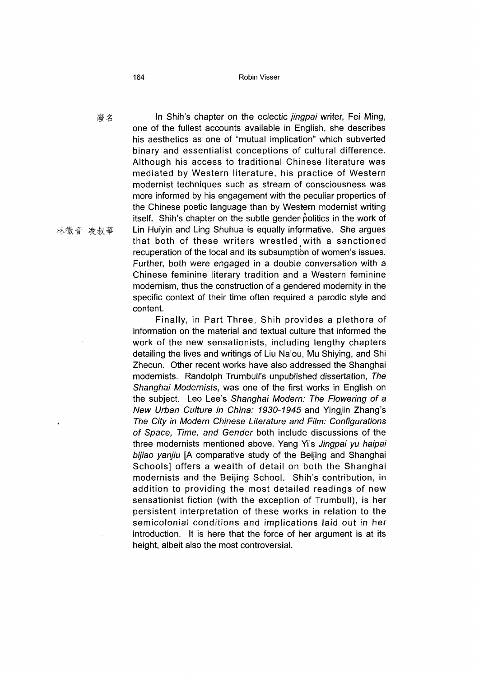#### 164 Robin Visser

*廢名* In Shih's chapter on the eclectic *jingpai* writer, Fei Ming, one of the fullest accounts available in English, she describes his aesthetics as one of "mutual implication" which subverted binary and essentialist conceptions of cultural difference. Although his access to traditional Chinese literature was mediated by Western literature, his practice of Western modernist techniques such as stream of consciousness was more informed by his engagement with the peculiar properties of the Chinese poetic language than by Western modernist writing itself. Shih's chapter on the subtle gender politics in the work of 林徽音 凌叔華 Lin Huiyin and Ling Shuhua is equally informative. She argues that both of these writers wrestled with a sanctioned recuperation of the local and its subsumption of women's issues. Further, both were engaged in a double conversation with a Chinese feminine literary tradition and a Western feminine modernism, thus the construction of a gendered modernity in the specific context of their time often required a parodic style and content.

> Finally, in Part Three, Shih provides a plethora of information on the material and textual culture that informed the work of the new sensationists, including lengthy chapters detailing the lives and writings of Liu Na'ou, Mu Shiying, and Shi Zhecun. Other recent works have also addressed the Shanghai modernists. Randolph Trumbull's unpublished dissertation, *The Shanghai Modernists,* was one of the first works in English on the subject. Leo Lee's *Shanghai Modern: The Flowering of* a *New Urban Culture in China: 1930-1945* and Yingjin Zhang^ . *The City in Modern Chinese Literature and Film: Configurations of Space, Time, and Gender* both include discussions of the three modernists mentioned above. Yang Yi's *Jingpai yu haipai bijiao yanjiu* [A comparative study of the Beijing and Shanghai Schools] offers a wealth of detail on both the Shanghai modernists and the Beijing School. Shih's contribution, in addition to providing the most detailed readings of new sensationist fiction (with the exception of Trumbull), is her persistent interpretation of these works in relation to the semicolonial conditions and implications laid out in her introduction. It is here that the force of her argument is at its height, albeit also the most controversial.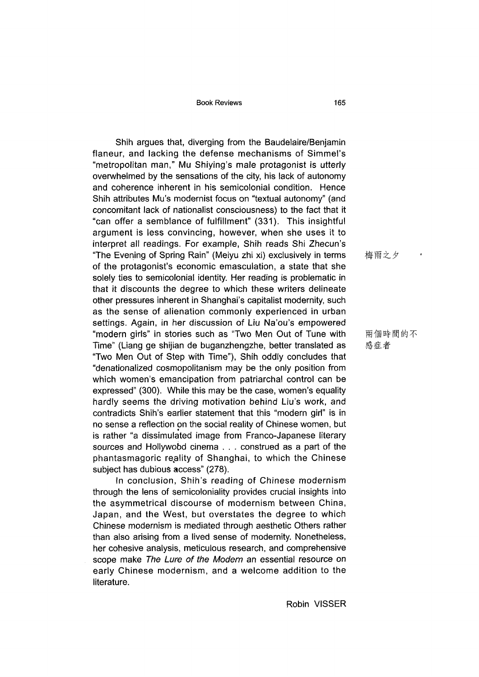Book Reviews 165

Shih argues that, diverging from the Baudelaire/Benjamin flaneur, and lacking the defense mechanisms of Simmel's "metropolitan man," Mu Shiying's male protagonist is utterly overwhelmed by the sensations of the city, his lack of autonomy and coherence inherent in his semicolonial condition. Hence Shih attributes Mu's modernist focus on "textual autonomy" (and concomitant lack of nationalist consciousness) to the fact that it "can offer a semblance of fulfillment" (331). This insightful argument is less convincing, however, when she uses it to interpret all readings. For example, Shih reads Shi Zhecun's "The Evening of Spring Rain" (Meiyu zhi xi) exclusively in terms of the protagonist's economic emasculation, a state that she solely ties to semicolonial identity. Her reading is problematic in that it discounts the degree to which these writers delineate other pressures inherent in Shanghai's capitalist modernity, such as the sense of alienation commonly experienced in urban settings. Again, in her discussion of Liu Na'ou's empowered "modern girls" in stories such as "Two Men Out of Tune with Time" (Liang ge shijian de buganzhengzhe, better translated as "Two Men Out of Step with Time"), Shih oddly concludes that "denationalized cosmopolitanism may be the only position from which women's emancipation from patriarchal control can be expressed" (300). While this may be the case, women's equality hardly seems the driving motivation behind Liu's work, and contradicts Shih's earlier statement that this "modern girl" is in no sense a reflection on the social reality of Chinese women, but is rather "a dissimulated image from Franco-Japanese literary sources and Hollywobd cinema . . . construed as a part of the phantasmagoric reality of Shanghai, to which the Chinese subject has dubious access" (278).

In conclusion, Shih's reading of Chinese modernism through the lens of semicoloniality provides crucial insights into the asymmetrical discourse of modernism between China, Japan, and the West, but overstates the degree to which Chinese modernism is mediated through aesthetic Others rather than also arising from a lived sense of modernity. Nonetheless, her cohesive analysis, meticulous research, and comprehensive scope make *The Lure of the Modem* an essential resource on early Chinese modernism, and a welcome addition to the literature.

梅雨之夕

兩個時間的不 感症者